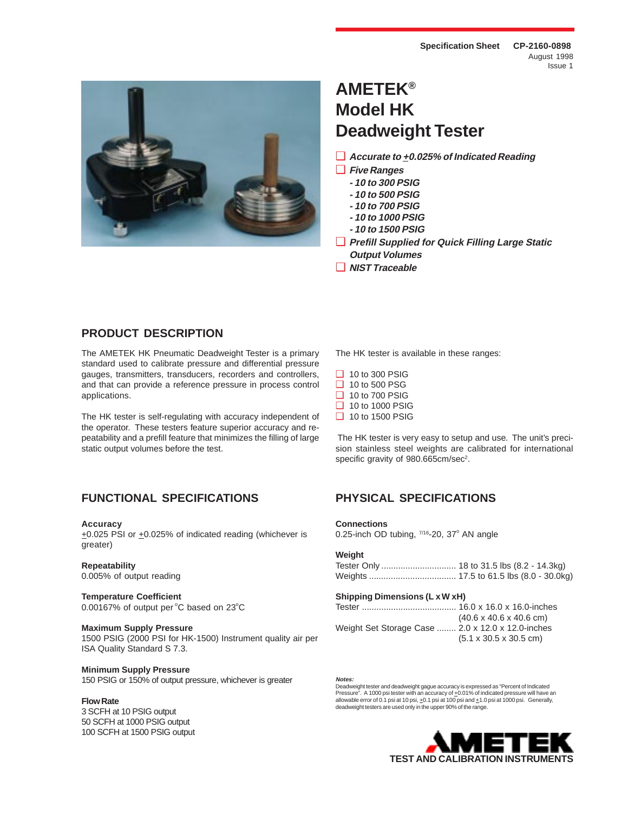

# **AMETEK® Model HK Deadweight Tester**

- ❑ **Accurate to +0.025% of Indicated Reading**
- ❑ **Five Ranges**
	- **10 to 300 PSIG**
	- **10 to 500 PSIG**
	- **10 to 700 PSIG**
	- **10 to 1000 PSIG**
	- **10 to 1500 PSIG**
- ❑ **Prefill Supplied for Quick Filling Large Static Output Volumes**
- ❑ **NIST Traceable**

## **PRODUCT DESCRIPTION**

The AMETEK HK Pneumatic Deadweight Tester is a primary standard used to calibrate pressure and differential pressure gauges, transmitters, transducers, recorders and controllers, and that can provide a reference pressure in process control applications.

The HK tester is self-regulating with accuracy independent of the operator. These testers feature superior accuracy and repeatability and a prefill feature that minimizes the filling of large static output volumes before the test.

# **FUNCTIONAL SPECIFICATIONS PHYSICAL SPECIFICATIONS**

### **Accuracy**

+0.025 PSI or +0.025% of indicated reading (whichever is greater)

### **Repeatability**

0.005% of output reading

### **Temperature Coefficient**  $0.00167\%$  of output per  $^{\circ}$ C based on 23 $^{\circ}$ C

### **Maximum Supply Pressure**

1500 PSIG (2000 PSI for HK-1500) Instrument quality air per ISA Quality Standard S 7.3.

### **Minimum Supply Pressure**

150 PSIG or 150% of output pressure, whichever is greater

### **Flow Rate**

3 SCFH at 10 PSIG output 50 SCFH at 1000 PSIG output 100 SCFH at 1500 PSIG output The HK tester is available in these ranges:

- ❑ 10 to 300 PSIG
- ❑ 10 to 500 PSG
- ❑ 10 to 700 PSIG
- ❑ 10 to 1000 PSIG
- ❑ 10 to 1500 PSIG

 The HK tester is very easy to setup and use. The unit's precision stainless steel weights are calibrated for international specific gravity of 980.665cm/sec<sup>2</sup>.

### **Connections**

0.25-inch OD tubing,  $7/16$ -20, 37 $^{\circ}$  AN angle

### **Weight**

### **Shipping Dimensions (L x W xH)**

|                                                   | $(40.6 \times 40.6 \times 40.6 \text{ cm})$ |
|---------------------------------------------------|---------------------------------------------|
| Weight Set Storage Case  2.0 x 12.0 x 12.0-inches |                                             |
|                                                   | $(5.1 \times 30.5 \times 30.5 \text{ cm})$  |

### **Notes:**

Deadweight tester and deadweight gague accuracy is expressed as "Percent of Indicated<br>Pressure". A 1000 psi tester with an accuracy of <u>+</u>0.01% of indicated pressure will have an allowable error of 0.1 psi at 10 psi,  $\pm$ 0.1 psi at 100 psi and  $\pm$ 1.0 psi at 1000 psi. Generally, deadweight testers are used only in the upper 90% of the range.